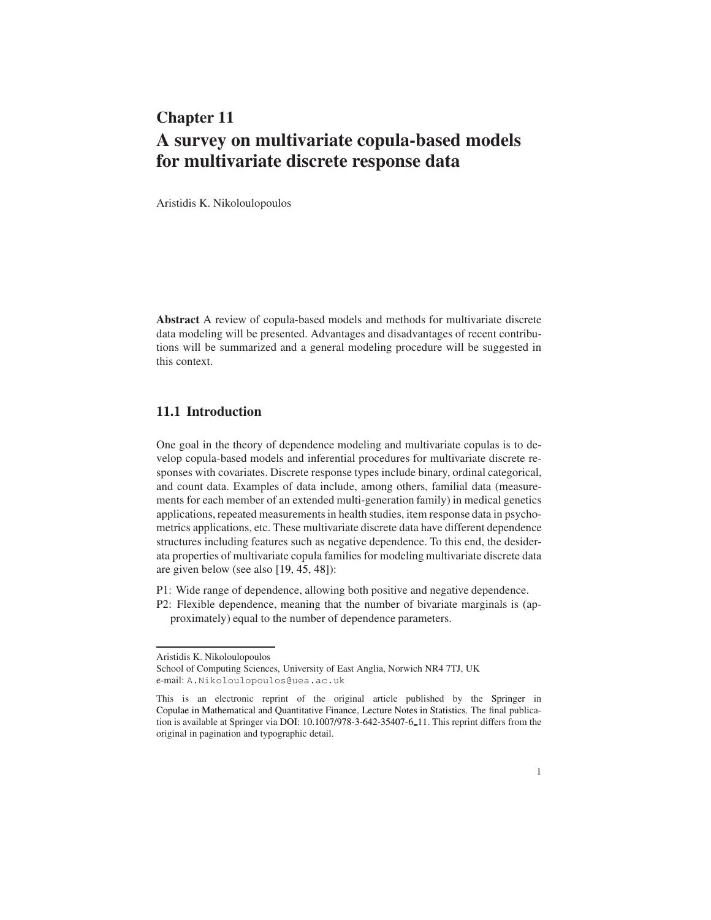# Chapter 11 A survey on multivariate copula-based models for multivariate discrete response data

Aristidis K. Nikoloulopoulos

Abstract A review of copula-based models and methods for multivariate discrete data modeling will be presented. Advantages and disadvantages of recent contributions will be summarized and a general modeling procedure will be suggested in this context.

## 11.1 Introduction

One goal in the theory of dependence modeling and multivariate copulas is to develop copula-based models and inferential procedures for multivariate discrete responses with covariates. Discrete response types include binary, ordinal categorical, and count data. Examples of data include, among others, familial data (measurements for each member of an extended multi-generation family) in medical genetics applications, repeated measurements in health studies, item response data in psychometrics applications, etc. These multivariate discrete data have different dependence structures including features such as negative dependence. To this end, the desiderata properties of multivariate copula families for modeling multivariate discrete data are given below (see also [\[19,](#page-16-0) [45,](#page-17-0) [48\]](#page-18-0)):

- P1: Wide range of dependence, allowing both positive and negative dependence.
- P2: Flexible dependence, meaning that the number of bivariate marginals is (approximately) equal to the number of dependence parameters.

Aristidis K. Nikoloulopoulos

School of Computing Sciences, University of East Anglia, Norwich NR4 7TJ, UK e-mail: <A.Nikoloulopoulos@uea.ac.uk>

This is an electronic reprint of the original article published by the [Springer](http://www.springer.com) in [Copulae in Mathematical and Quantitative Finance,](http://link.springer.com/book/10.1007/978-3-642-35407-6) [Lecture Notes in Statistics.](http://link.springer.com/bookseries/694) The final publication is available at Springer via [DOI: 10.1007/978-3-642-35407-6](http://dx.doi.org//10.1007/978-3-642-35407-6_11) 11. This reprint differs from the original in pagination and typographic detail.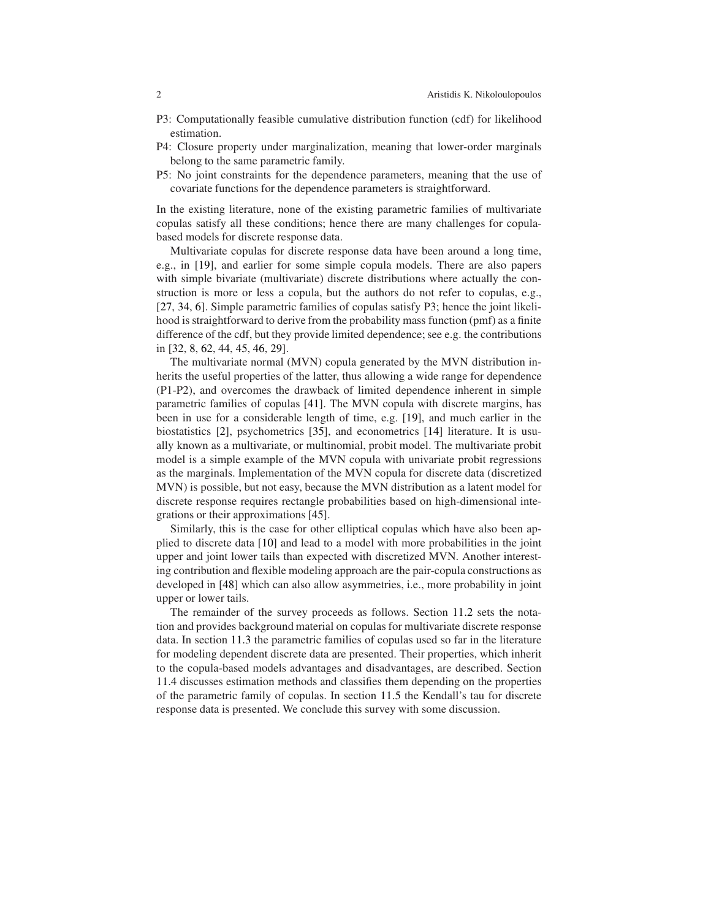- P3: Computationally feasible cumulative distribution function (cdf) for likelihood estimation.
- P4: Closure property under marginalization, meaning that lower-order marginals belong to the same parametric family.
- P5: No joint constraints for the dependence parameters, meaning that the use of covariate functions for the dependence parameters is straightforward.

In the existing literature, none of the existing parametric families of multivariate copulas satisfy all these conditions; hence there are many challenges for copulabased models for discrete response data.

Multivariate copulas for discrete response data have been around a long time, e.g., in [\[19\]](#page-16-0), and earlier for some simple copula models. There are also papers with simple bivariate (multivariate) discrete distributions where actually the construction is more or less a copula, but the authors do not refer to copulas, e.g., [\[27,](#page-17-1) [34,](#page-17-2) [6\]](#page-16-1). Simple parametric families of copulas satisfy P3; hence the joint likelihood is straightforward to derive from the probability mass function (pmf) as a finite difference of the cdf, but they provide limited dependence; see e.g. the contributions in [\[32,](#page-17-3) [8,](#page-16-2) [62,](#page-18-1) [44,](#page-17-4) [45,](#page-17-0) [46,](#page-17-5) [29\]](#page-17-6).

The multivariate normal (MVN) copula generated by the MVN distribution inherits the useful properties of the latter, thus allowing a wide range for dependence (P1-P2), and overcomes the drawback of limited dependence inherent in simple parametric families of copulas [\[41\]](#page-17-7). The MVN copula with discrete margins, has been in use for a considerable length of time, e.g. [\[19\]](#page-16-0), and much earlier in the biostatistics [\[2\]](#page-16-3), psychometrics [\[35\]](#page-17-8), and econometrics [\[14\]](#page-16-4) literature. It is usually known as a multivariate, or multinomial, probit model. The multivariate probit model is a simple example of the MVN copula with univariate probit regressions as the marginals. Implementation of the MVN copula for discrete data (discretized MVN) is possible, but not easy, because the MVN distribution as a latent model for discrete response requires rectangle probabilities based on high-dimensional integrations or their approximations [\[45\]](#page-17-0).

Similarly, this is the case for other elliptical copulas which have also been applied to discrete data [\[10\]](#page-16-5) and lead to a model with more probabilities in the joint upper and joint lower tails than expected with discretized MVN. Another interesting contribution and flexible modeling approach are the pair-copula constructions as developed in [\[48\]](#page-18-0) which can also allow asymmetries, i.e., more probability in joint upper or lower tails.

The remainder of the survey proceeds as follows. Section [11.2](#page-2-0) sets the notation and provides background material on copulas for multivariate discrete response data. In section [11.3](#page-2-1) the parametric families of copulas used so far in the literature for modeling dependent discrete data are presented. Their properties, which inherit to the copula-based models advantages and disadvantages, are described. Section [11.4](#page-10-0) discusses estimation methods and classifies them depending on the properties of the parametric family of copulas. In section [11.5](#page-12-0) the Kendall's tau for discrete response data is presented. We conclude this survey with some discussion.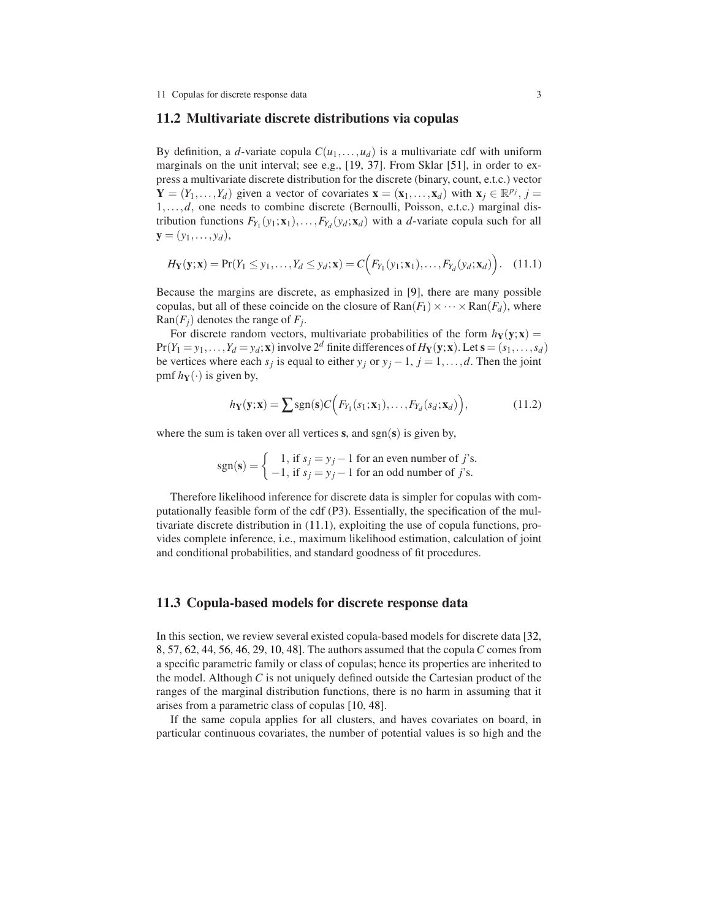#### <span id="page-2-0"></span>11.2 Multivariate discrete distributions via copulas

By definition, a *d*-variate copula  $C(u_1,...,u_d)$  is a multivariate cdf with uniform marginals on the unit interval; see e.g., [\[19,](#page-16-0) [37\]](#page-17-9). From Sklar [\[51\]](#page-18-2), in order to express a multivariate discrete distribution for the discrete (binary, count, e.t.c.) vector  $\mathbf{Y} = (Y_1, \ldots, Y_d)$  given a vector of covariates  $\mathbf{x} = (\mathbf{x}_1, \ldots, \mathbf{x}_d)$  with  $\mathbf{x}_j \in \mathbb{R}^{p_j}$ ,  $j =$ 1,...,*d*, one needs to combine discrete (Bernoulli, Poisson, e.t.c.) marginal distribution functions  $F_{Y_1}(y_1; \mathbf{x}_1), \ldots, F_{Y_d}(y_d; \mathbf{x}_d)$  with a *d*-variate copula such for all  $y = (y_1, \ldots, y_d),$ 

<span id="page-2-2"></span>
$$
H_Y(\mathbf{y}; \mathbf{x}) = \Pr(Y_1 \leq y_1, \dots, Y_d \leq y_d; \mathbf{x}) = C\Big(F_{Y_1}(y_1; \mathbf{x}_1), \dots, F_{Y_d}(y_d; \mathbf{x}_d)\Big). \tag{11.1}
$$

Because the margins are discrete, as emphasized in [\[9\]](#page-16-6), there are many possible copulas, but all of these coincide on the closure of  $\text{Ran}(F_1) \times \cdots \times \text{Ran}(F_d)$ , where  $\text{Ran}(F_j)$  denotes the range of  $F_j$ .

For discrete random vectors, multivariate probabilities of the form  $h_Y(y; x) =$  $Pr(Y_1 = y_1, \ldots, Y_d = y_d; \mathbf{x})$  involve  $2^d$  finite differences of  $H_Y(\mathbf{y}; \mathbf{x})$ . Let  $\mathbf{s} = (s_1, \ldots, s_d)$ be vertices where each  $s_j$  is equal to either  $y_j$  or  $y_j - 1$ ,  $j = 1, ..., d$ . Then the joint pmf  $h_Y(\cdot)$  is given by,

<span id="page-2-3"></span>
$$
h_Y(\mathbf{y}; \mathbf{x}) = \sum \text{sgn}(\mathbf{s}) C \Big( F_{Y_1}(s_1; \mathbf{x}_1), \dots, F_{Y_d}(s_d; \mathbf{x}_d) \Big), \tag{11.2}
$$

where the sum is taken over all vertices  $s$ , and  $sgn(s)$  is given by,

$$
sgn(\mathbf{s}) = \begin{cases} 1, \text{ if } s_j = y_j - 1 \text{ for an even number of } j's. \\ -1, \text{ if } s_j = y_j - 1 \text{ for an odd number of } j's. \end{cases}
$$

Therefore likelihood inference for discrete data is simpler for copulas with computationally feasible form of the cdf (P3). Essentially, the specification of the multivariate discrete distribution in [\(11.1\)](#page-2-2), exploiting the use of copula functions, provides complete inference, i.e., maximum likelihood estimation, calculation of joint and conditional probabilities, and standard goodness of fit procedures.

#### <span id="page-2-1"></span>11.3 Copula-based models for discrete response data

In this section, we review several existed copula-based models for discrete data [\[32,](#page-17-3) [8,](#page-16-2) [57,](#page-18-3) [62,](#page-18-1) [44,](#page-17-4) [56,](#page-18-4) [46,](#page-17-5) [29,](#page-17-6) [10,](#page-16-5) [48\]](#page-18-0). The authors assumed that the copula*C* comes from a specific parametric family or class of copulas; hence its properties are inherited to the model. Although *C* is not uniquely defined outside the Cartesian product of the ranges of the marginal distribution functions, there is no harm in assuming that it arises from a parametric class of copulas [\[10,](#page-16-5) [48\]](#page-18-0).

If the same copula applies for all clusters, and haves covariates on board, in particular continuous covariates, the number of potential values is so high and the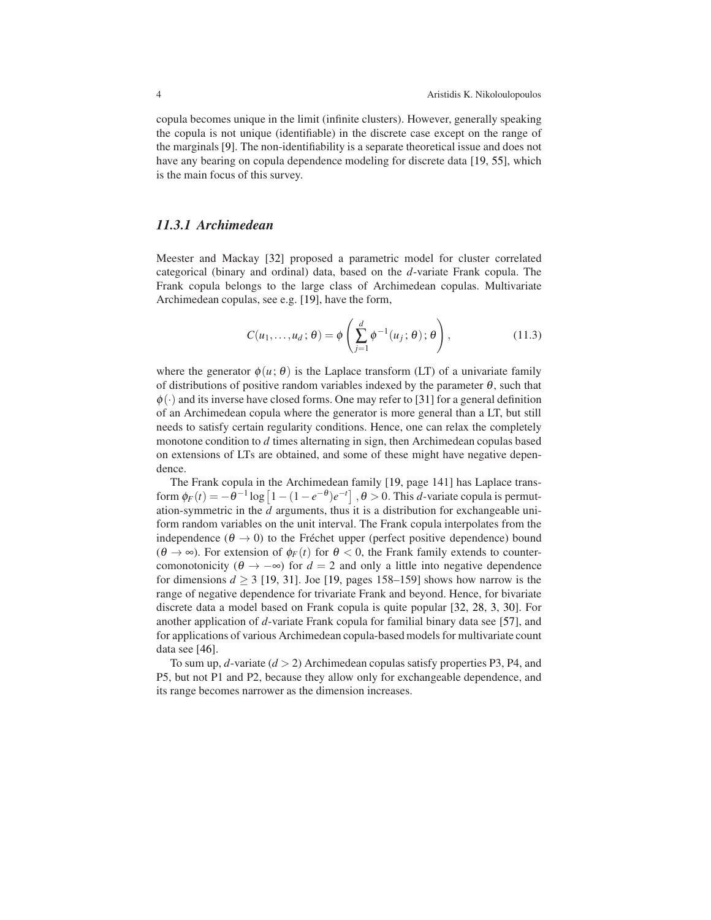copula becomes unique in the limit (infinite clusters). However, generally speaking the copula is not unique (identifiable) in the discrete case except on the range of the marginals [\[9\]](#page-16-6). The non-identifiability is a separate theoretical issue and does not have any bearing on copula dependence modeling for discrete data [\[19,](#page-16-0) [55\]](#page-18-5), which is the main focus of this survey.

## *11.3.1 Archimedean*

Meester and Mackay [\[32\]](#page-17-3) proposed a parametric model for cluster correlated categorical (binary and ordinal) data, based on the *d*-variate Frank copula. The Frank copula belongs to the large class of Archimedean copulas. Multivariate Archimedean copulas, see e.g. [\[19\]](#page-16-0), have the form,

<span id="page-3-0"></span>
$$
C(u_1,\ldots,u_d;\theta) = \phi\left(\sum_{j=1}^d \phi^{-1}(u_j;\theta);\theta\right),\qquad(11.3)
$$

where the generator  $\phi(u; \theta)$  is the Laplace transform (LT) of a univariate family of distributions of positive random variables indexed by the parameter  $\theta$ , such that  $\phi(\cdot)$  and its inverse have closed forms. One may refer to [\[31\]](#page-17-10) for a general definition of an Archimedean copula where the generator is more general than a LT, but still needs to satisfy certain regularity conditions. Hence, one can relax the completely monotone condition to *d* times alternating in sign, then Archimedean copulas based on extensions of LTs are obtained, and some of these might have negative dependence.

The Frank copula in the Archimedean family [\[19,](#page-16-0) page 141] has Laplace transform  $\phi_F(t) = -\theta^{-1} \log \left[1 - (1 - e^{-\theta})e^{-t}\right]$ ,  $\theta > 0$ . This *d*-variate copula is permutation-symmetric in the  $\tilde{d}$  arguments, thus it is a distribution for exchangeable uniform random variables on the unit interval. The Frank copula interpolates from the independence ( $\theta \rightarrow 0$ ) to the Fréchet upper (perfect positive dependence) bound  $(\theta \to \infty)$ . For extension of  $\phi_F(t)$  for  $\theta < 0$ , the Frank family extends to countercomonotonicity ( $\theta \rightarrow -\infty$ ) for  $d = 2$  and only a little into negative dependence for dimensions  $d \geq 3$  [\[19,](#page-16-0) [31\]](#page-17-10). Joe [19, pages 158–159] shows how narrow is the range of negative dependence for trivariate Frank and beyond. Hence, for bivariate discrete data a model based on Frank copula is quite popular [\[32,](#page-17-3) [28,](#page-17-11) [3,](#page-16-7) [30\]](#page-17-12). For another application of *d*-variate Frank copula for familial binary data see [\[57\]](#page-18-3), and for applications of various Archimedean copula-based models for multivariate count data see [\[46\]](#page-17-5).

To sum up, *d*-variate (*d* > 2) Archimedean copulas satisfy properties P3, P4, and P5, but not P1 and P2, because they allow only for exchangeable dependence, and its range becomes narrower as the dimension increases.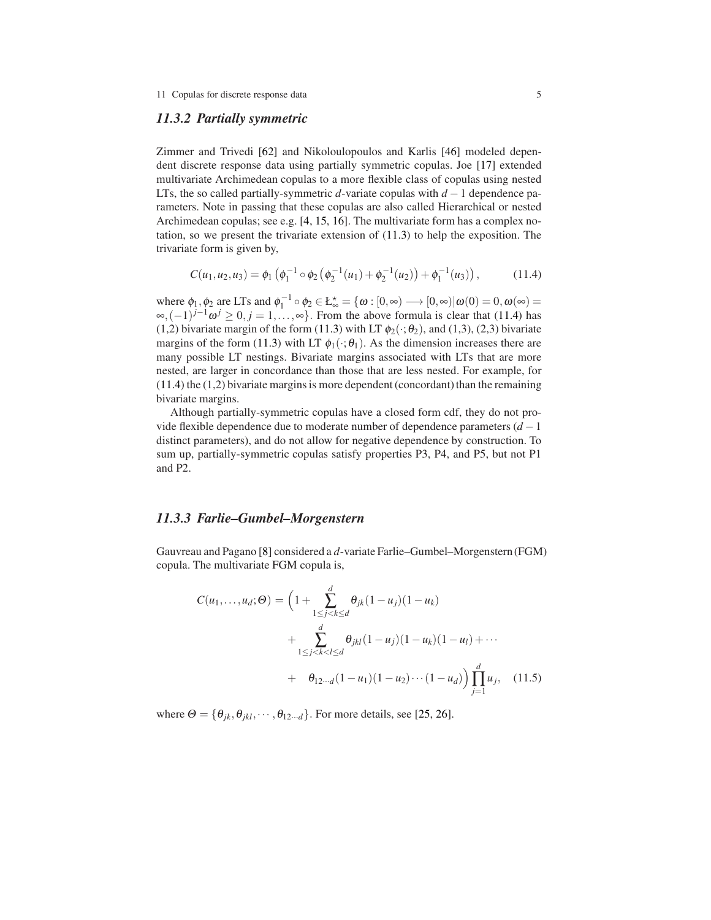#### *11.3.2 Partially symmetric*

Zimmer and Trivedi [\[62\]](#page-18-1) and Nikoloulopoulos and Karlis [\[46\]](#page-17-5) modeled dependent discrete response data using partially symmetric copulas. Joe [\[17\]](#page-16-8) extended multivariate Archimedean copulas to a more flexible class of copulas using nested LTs, the so called partially-symmetric *d*-variate copulas with *d* −1 dependence parameters. Note in passing that these copulas are also called Hierarchical or nested Archimedean copulas; see e.g. [\[4,](#page-16-9) [15,](#page-16-10) [16\]](#page-16-11). The multivariate form has a complex notation, so we present the trivariate extension of [\(11.3\)](#page-3-0) to help the exposition. The trivariate form is given by,

<span id="page-4-0"></span>
$$
C(u_1, u_2, u_3) = \phi_1 \left( \phi_1^{-1} \circ \phi_2 \left( \phi_2^{-1}(u_1) + \phi_2^{-1}(u_2) \right) + \phi_1^{-1}(u_3) \right), \tag{11.4}
$$

where  $\phi_1, \phi_2$  are LTs and  $\phi_1^{-1} \circ \phi_2 \in \mathbb{E}_{\infty}^{\star} = \{ \omega : [0, \infty) \longrightarrow [0, \infty) | \omega(0) = 0, \omega(\infty) = 0 \}$  $\infty, (-1)^{j-1} \omega^j \ge 0, j = 1, \ldots, \infty$ . From the above formula is clear that [\(11.4\)](#page-4-0) has (1,2) bivariate margin of the form [\(11.3\)](#page-3-0) with LT  $\phi_2(\cdot;\theta_2)$ , and (1,3), (2,3) bivariate margins of the form [\(11.3\)](#page-3-0) with LT  $\phi_1(\cdot;\theta_1)$ . As the dimension increases there are many possible LT nestings. Bivariate margins associated with LTs that are more nested, are larger in concordance than those that are less nested. For example, for [\(11.4\)](#page-4-0) the (1,2) bivariate margins is more dependent (concordant) than the remaining bivariate margins.

Although partially-symmetric copulas have a closed form cdf, they do not provide flexible dependence due to moderate number of dependence parameters (*d* −1 distinct parameters), and do not allow for negative dependence by construction. To sum up, partially-symmetric copulas satisfy properties P3, P4, and P5, but not P1 and P2.

#### *11.3.3 Farlie–Gumbel–Morgenstern*

Gauvreau and Pagano [\[8\]](#page-16-2) considered a *d*-variate Farlie–Gumbel–Morgenstern (FGM) copula. The multivariate FGM copula is,

<span id="page-4-1"></span>
$$
C(u_1,...,u_d; \Theta) = \left(1 + \sum_{1 \le j < k \le d}^{d} \theta_{jk}(1 - u_j)(1 - u_k)\n+ \sum_{1 \le j < k < l \le d}^{d} \theta_{jkl}(1 - u_j)(1 - u_k)(1 - u_l) + \cdots\n+ \theta_{12 \cdots d}(1 - u_1)(1 - u_2) \cdots (1 - u_d)\right) \prod_{j=1}^{d} u_j, \quad (11.5)
$$

where  $\Theta = {\theta_{jk}, \theta_{jkl}, \cdots, \theta_{12\cdots d}}$ . For more details, see [\[25,](#page-17-13) [26\]](#page-17-14).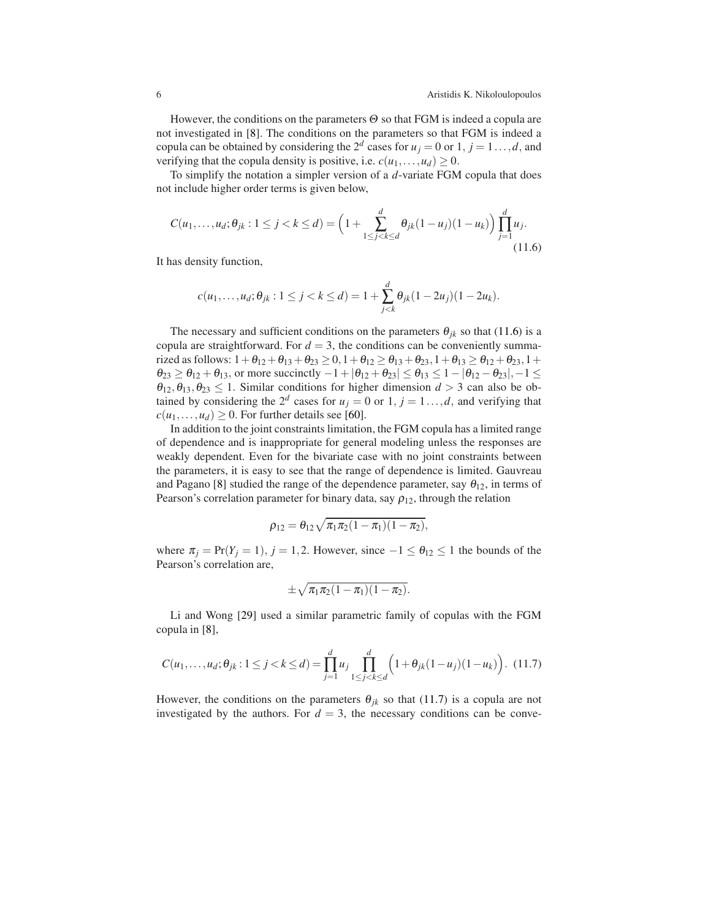However, the conditions on the parameters  $\Theta$  so that FGM is indeed a copula are not investigated in [\[8\]](#page-16-2). The conditions on the parameters so that FGM is indeed a copula can be obtained by considering the  $2^d$  cases for  $u_j = 0$  or  $1, j = 1...$ , *d*, and verifying that the copula density is positive, i.e.  $c(u_1,...,u_d) \geq 0$ .

To simplify the notation a simpler version of a *d*-variate FGM copula that does not include higher order terms is given below,

<span id="page-5-0"></span>
$$
C(u_1,\ldots,u_d;\theta_{jk}:1\leq j < k \leq d) = \left(1+\sum_{1\leq j < k \leq d}^d \theta_{jk}(1-u_j)(1-u_k)\right) \prod_{j=1}^d u_j.
$$
\n(11.6)

It has density function,

$$
c(u_1,\ldots,u_d;\theta_{jk}:1\leq j
$$

The necessary and sufficient conditions on the parameters  $\theta_{jk}$  so that [\(11.6\)](#page-5-0) is a copula are straightforward. For  $d = 3$ , the conditions can be conveniently summarized as follows:  $1+\theta_{12}+\theta_{13}+\theta_{23} \ge 0$ ,  $1+\theta_{12} \ge \theta_{13}+\theta_{23}$ ,  $1+\theta_{13} \ge \theta_{12}+\theta_{23}$ ,  $1+\theta_{14} \ge \theta_{15}$  $\theta_{23} \geq \theta_{12} + \theta_{13}$ , or more succinctly  $-1 + |\theta_{12} + \theta_{23}| \leq \theta_{13} \leq 1 - |\theta_{12} - \theta_{23}|, -1 \leq$  $\theta_{12}, \theta_{13}, \theta_{23} \leq 1$ . Similar conditions for higher dimension  $d > 3$  can also be obtained by considering the  $2^d$  cases for  $u_j = 0$  or  $1, j = 1...$ , *d*, and verifying that  $c(u_1,...,u_d) \geq 0$ . For further details see [\[60\]](#page-18-6).

In addition to the joint constraints limitation, the FGM copula has a limited range of dependence and is inappropriate for general modeling unless the responses are weakly dependent. Even for the bivariate case with no joint constraints between the parameters, it is easy to see that the range of dependence is limited. Gauvreau and Pagano [\[8\]](#page-16-2) studied the range of the dependence parameter, say  $\theta_{12}$ , in terms of Pearson's correlation parameter for binary data, say  $\rho_{12}$ , through the relation

$$
\rho_{12} = \theta_{12} \sqrt{\pi_1 \pi_2 (1 - \pi_1)(1 - \pi_2)},
$$

where  $\pi_j = \Pr(Y_j = 1), j = 1, 2$ . However, since  $-1 \le \theta_{12} \le 1$  the bounds of the Pearson's correlation are,

$$
\pm\sqrt{\pi_1\pi_2(1-\pi_1)(1-\pi_2)}.
$$

Li and Wong [\[29\]](#page-17-6) used a similar parametric family of copulas with the FGM copula in [\[8\]](#page-16-2),

<span id="page-5-1"></span>
$$
C(u_1,\ldots,u_d;\theta_{jk}:1\leq j < k \leq d) = \prod_{j=1}^d u_j \prod_{1\leq j < k \leq d}^d \left(1+\theta_{jk}(1-u_j)(1-u_k)\right). \tag{11.7}
$$

However, the conditions on the parameters  $\theta_{jk}$  so that [\(11.7\)](#page-5-1) is a copula are not investigated by the authors. For  $d = 3$ , the necessary conditions can be conve-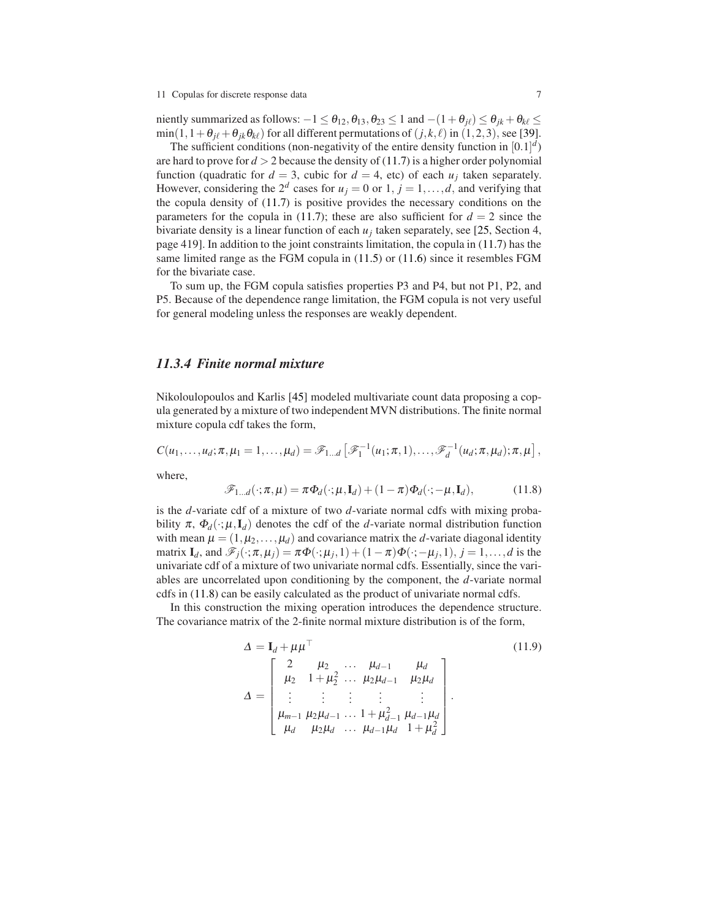#### 11 Copulas for discrete response data 7

niently summarized as follows:  $-1 \leq \theta_{12}, \theta_{13}, \theta_{23} \leq 1$  and  $-(1+\theta_{j\ell}) \leq \theta_{jk} + \theta_{k\ell} \leq$  $min(1, 1 + \theta_{j\ell} + \theta_{jk}\theta_{k\ell})$  for all different permutations of  $(j, k, \ell)$  in  $(1, 2, 3)$ , see [\[39\]](#page-17-15).

The sufficient conditions (non-negativity of the entire density function in  $[0.1]^d$ ) are hard to prove for  $d > 2$  because the density of [\(11.7\)](#page-5-1) is a higher order polynomial function (quadratic for  $d = 3$ , cubic for  $d = 4$ , etc) of each  $u_j$  taken separately. However, considering the  $2^d$  cases for  $u_j = 0$  or  $1, j = 1, \ldots, d$ , and verifying that the copula density of [\(11.7\)](#page-5-1) is positive provides the necessary conditions on the parameters for the copula in [\(11.7\)](#page-5-1); these are also sufficient for  $d = 2$  since the bivariate density is a linear function of each  $u_j$  taken separately, see [\[25,](#page-17-13) Section 4, page 419]. In addition to the joint constraints limitation, the copula in [\(11.7\)](#page-5-1) has the same limited range as the FGM copula in [\(11.5\)](#page-4-1) or [\(11.6\)](#page-5-0) since it resembles FGM for the bivariate case.

To sum up, the FGM copula satisfies properties P3 and P4, but not P1, P2, and P5. Because of the dependence range limitation, the FGM copula is not very useful for general modeling unless the responses are weakly dependent.

#### *11.3.4 Finite normal mixture*

Nikoloulopoulos and Karlis [\[45\]](#page-17-0) modeled multivariate count data proposing a copula generated by a mixture of two independent MVN distributions. The finite normal mixture copula cdf takes the form,

 $C(u_1,...,u_d; \pi, \mu_1 = 1,..., \mu_d) = \mathscr{F}_{1...d} \left[ \mathscr{F}_1^{-1}(u_1; \pi, 1), \ldots, \mathscr{F}_d^{-1}(u_d; \pi, \mu_d); \pi, \mu \right],$ 

where,

<span id="page-6-0"></span>
$$
\mathscr{F}_{1\ldots d}(\cdot;\pi,\mu) = \pi \Phi_d(\cdot;\mu,\mathbf{I}_d) + (1-\pi)\Phi_d(\cdot;-\mu,\mathbf{I}_d),\tag{11.8}
$$

is the *d*-variate cdf of a mixture of two *d*-variate normal cdfs with mixing probability  $\pi$ ,  $\Phi_d(\cdot;\mu,\mathbf{I}_d)$  denotes the cdf of the *d*-variate normal distribution function with mean  $\mu = (1, \mu_2, \dots, \mu_d)$  and covariance matrix the *d*-variate diagonal identity matrix  $\mathbf{I}_d$ , and  $\mathscr{F}_j(\cdot;\pi,\mu_j) = \pi \Phi(\cdot;\mu_j,1) + (1-\pi) \Phi(\cdot;-\mu_j,1), j = 1,\ldots,d$  is the univariate cdf of a mixture of two univariate normal cdfs. Essentially, since the variables are uncorrelated upon conditioning by the component, the *d*-variate normal cdfs in [\(11.8\)](#page-6-0) can be easily calculated as the product of univariate normal cdfs.

In this construction the mixing operation introduces the dependence structure. The covariance matrix of the 2-finite normal mixture distribution is of the form,

<span id="page-6-1"></span>
$$
\Delta = I_d + \mu \mu^{\top}
$$
\n
$$
\Delta = \begin{bmatrix}\n2 & \mu_2 & \dots & \mu_{d-1} & \mu_d \\
\mu_2 & 1 + \mu_2^2 & \dots & \mu_2 \mu_{d-1} & \mu_2 \mu_d \\
\vdots & \vdots & \vdots & \vdots & \vdots \\
\mu_{m-1} & \mu_2 \mu_{d-1} & \dots & 1 + \mu_{d-1}^2 & \mu_{d-1} \mu_d \\
\mu_d & \mu_2 \mu_d & \dots & \mu_{d-1} \mu_d & 1 + \mu_d^2\n\end{bmatrix}.
$$
\n(11.9)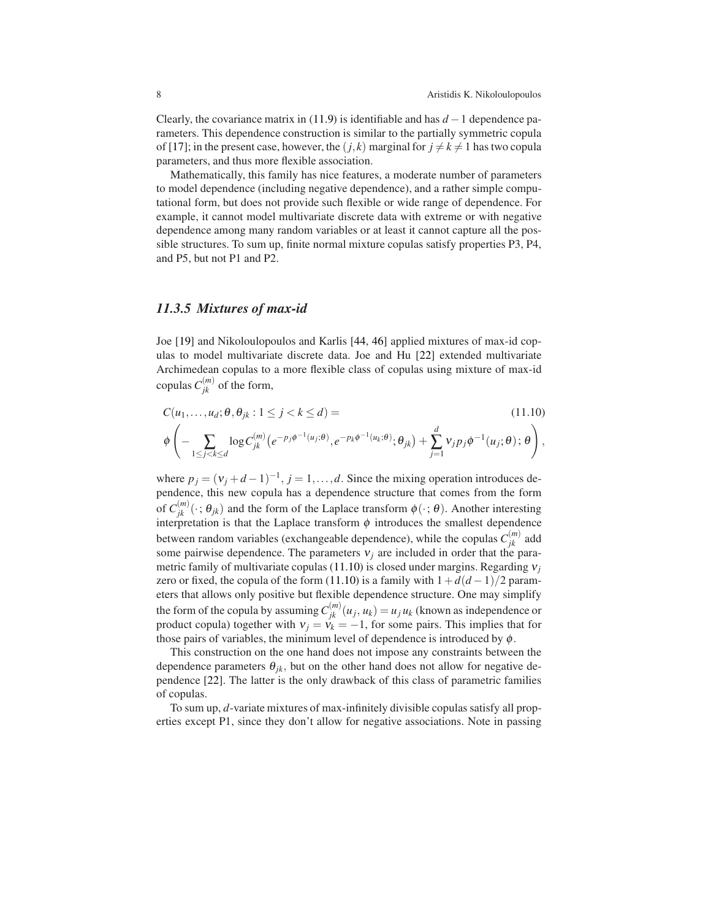Clearly, the covariance matrix in [\(11.9\)](#page-6-1) is identifiable and has *d* −1 dependence parameters. This dependence construction is similar to the partially symmetric copula of [\[17\]](#page-16-8); in the present case, however, the  $(j, k)$  marginal for  $j \neq k \neq 1$  has two copula parameters, and thus more flexible association.

Mathematically, this family has nice features, a moderate number of parameters to model dependence (including negative dependence), and a rather simple computational form, but does not provide such flexible or wide range of dependence. For example, it cannot model multivariate discrete data with extreme or with negative dependence among many random variables or at least it cannot capture all the possible structures. To sum up, finite normal mixture copulas satisfy properties P3, P4, and P5, but not P1 and P2.

### *11.3.5 Mixtures of max-id*

Joe [\[19\]](#page-16-0) and Nikoloulopoulos and Karlis [\[44,](#page-17-4) [46\]](#page-17-5) applied mixtures of max-id copulas to model multivariate discrete data. Joe and Hu [\[22\]](#page-17-16) extended multivariate Archimedean copulas to a more flexible class of copulas using mixture of max-id copulas  $C_{jk}^{(m)}$  of the form,

<span id="page-7-0"></span>
$$
C(u_1, \dots, u_d; \theta, \theta_{jk}: 1 \le j < k \le d) =
$$
\n
$$
\phi \left( -\sum_{1 \le j < k \le d} \log C_{jk}^{(m)} \left( e^{-p_j \phi^{-1}(u_j; \theta)}, e^{-p_k \phi^{-1}(u_k; \theta)}; \theta_{jk} \right) + \sum_{j=1}^d v_j p_j \phi^{-1}(u_j; \theta); \theta \right),
$$
\n(11.10)

where  $p_j = (v_j + d - 1)^{-1}$ ,  $j = 1, ..., d$ . Since the mixing operation introduces dependence, this new copula has a dependence structure that comes from the form of  $C_{jk}^{(m)}(\cdot;\theta_{jk})$  and the form of the Laplace transform  $\phi(\cdot;\theta)$ . Another interesting interpretation is that the Laplace transform  $\phi$  introduces the smallest dependence between random variables (exchangeable dependence), while the copulas  $C_{jk}^{(m)}$  add some pairwise dependence. The parameters  $v_i$  are included in order that the parametric family of multivariate copulas [\(11.10\)](#page-7-0) is closed under margins. Regarding <sup>ν</sup>*<sup>j</sup>* zero or fixed, the copula of the form [\(11.10\)](#page-7-0) is a family with  $1+d(d-1)/2$  parameters that allows only positive but flexible dependence structure. One may simplify the form of the copula by assuming  $C_{jk}^{(m)}(u_j, u_k) = u_j u_k$  (known as independence or product copula) together with  $v_j = v_k = -1$ , for some pairs. This implies that for those pairs of variables, the minimum level of dependence is introduced by  $\phi$ .

This construction on the one hand does not impose any constraints between the dependence parameters  $\theta_{ik}$ , but on the other hand does not allow for negative dependence [\[22\]](#page-17-16). The latter is the only drawback of this class of parametric families of copulas.

To sum up, *d*-variate mixtures of max-infinitely divisible copulas satisfy all properties except P1, since they don't allow for negative associations. Note in passing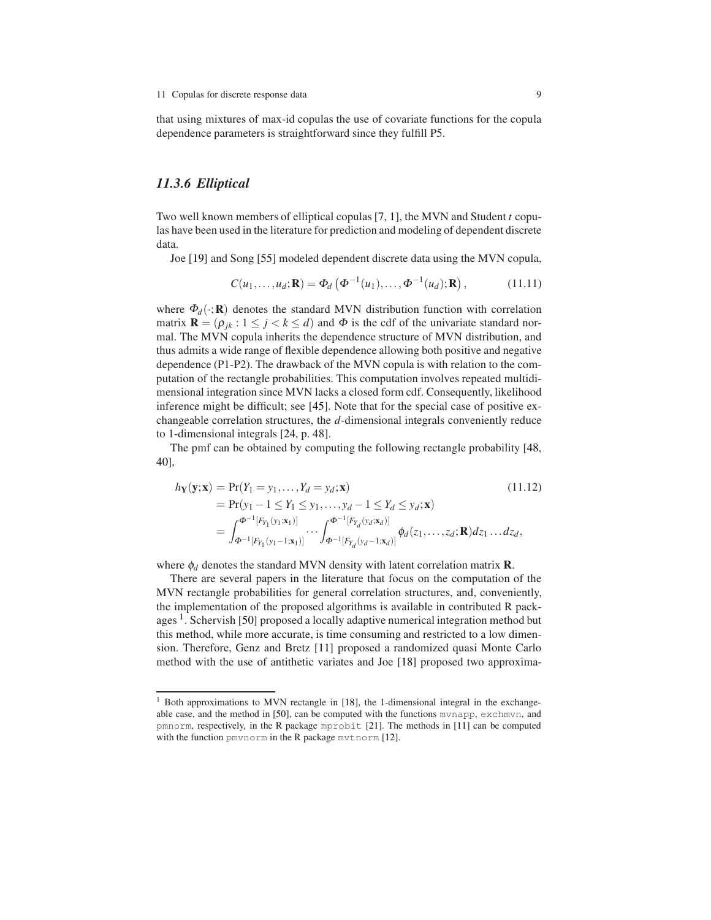that using mixtures of max-id copulas the use of covariate functions for the copula dependence parameters is straightforward since they fulfill P5.

## *11.3.6 Elliptical*

Two well known members of elliptical copulas [\[7,](#page-16-12) [1\]](#page-16-13), the MVN and Student *t* copulas have been used in the literature for prediction and modeling of dependent discrete data.

Joe [\[19\]](#page-16-0) and Song [\[55\]](#page-18-5) modeled dependent discrete data using the MVN copula,

<span id="page-8-2"></span>
$$
C(u_1,...,u_d; \mathbf{R}) = \Phi_d(\Phi^{-1}(u_1),..., \Phi^{-1}(u_d); \mathbf{R}), \qquad (11.11)
$$

where  $\Phi_d(\cdot;\mathbf{R})$  denotes the standard MVN distribution function with correlation matrix  $\mathbf{R} = (\rho_{jk} : 1 \leq j < k \leq d)$  and  $\Phi$  is the cdf of the univariate standard normal. The MVN copula inherits the dependence structure of MVN distribution, and thus admits a wide range of flexible dependence allowing both positive and negative dependence (P1-P2). The drawback of the MVN copula is with relation to the computation of the rectangle probabilities. This computation involves repeated multidimensional integration since MVN lacks a closed form cdf. Consequently, likelihood inference might be difficult; see [\[45\]](#page-17-0). Note that for the special case of positive exchangeable correlation structures, the *d*-dimensional integrals conveniently reduce to 1-dimensional integrals [\[24,](#page-17-17) p. 48].

The pmf can be obtained by computing the following rectangle probability [\[48,](#page-18-0) [40\]](#page-17-18),

<span id="page-8-1"></span>
$$
h_{\mathbf{Y}}(\mathbf{y}; \mathbf{x}) = \Pr(Y_1 = y_1, ..., Y_d = y_d; \mathbf{x})
$$
(11.12)  
=  $\Pr(y_1 - 1 \le Y_1 \le y_1, ..., y_d - 1 \le Y_d \le y_d; \mathbf{x})$   
=  $\int_{\Phi^{-1}[F_{Y_1}(y_1; \mathbf{x}_1)]}^{\Phi^{-1}[F_{Y_d}(y_d; \mathbf{x}_d)]} \cdots \int_{\Phi^{-1}[F_{Y_d}(y_d - 1; \mathbf{x}_d)]}^{\Phi^{-1}[F_{Y_d}(y_d - 1; \mathbf{x}_d)]} \phi_d(z_1, ..., z_d; \mathbf{R}) dz_1 ... dz_d,$  (11.12)

where  $\phi_d$  denotes the standard MVN density with latent correlation matrix **R**.

There are several papers in the literature that focus on the computation of the MVN rectangle probabilities for general correlation structures, and, conveniently, the implementation of the proposed algorithms is available in contributed R pack-ages<sup>[1](#page-8-0)</sup>. Schervish [\[50\]](#page-18-7) proposed a locally adaptive numerical integration method but this method, while more accurate, is time consuming and restricted to a low dimension. Therefore, Genz and Bretz [\[11\]](#page-16-14) proposed a randomized quasi Monte Carlo method with the use of antithetic variates and Joe [\[18\]](#page-16-15) proposed two approxima-

<span id="page-8-0"></span><sup>&</sup>lt;sup>1</sup> Both approximations to MVN rectangle in [\[18\]](#page-16-15), the 1-dimensional integral in the exchangeable case, and the method in [\[50\]](#page-18-7), can be computed with the functions mvnapp, exchmvn, and pmnorm, respectively, in the R package mprobit [\[21\]](#page-17-19). The methods in [\[11\]](#page-16-14) can be computed with the function pmvnorm in the R package mvtnorm [\[12\]](#page-16-16).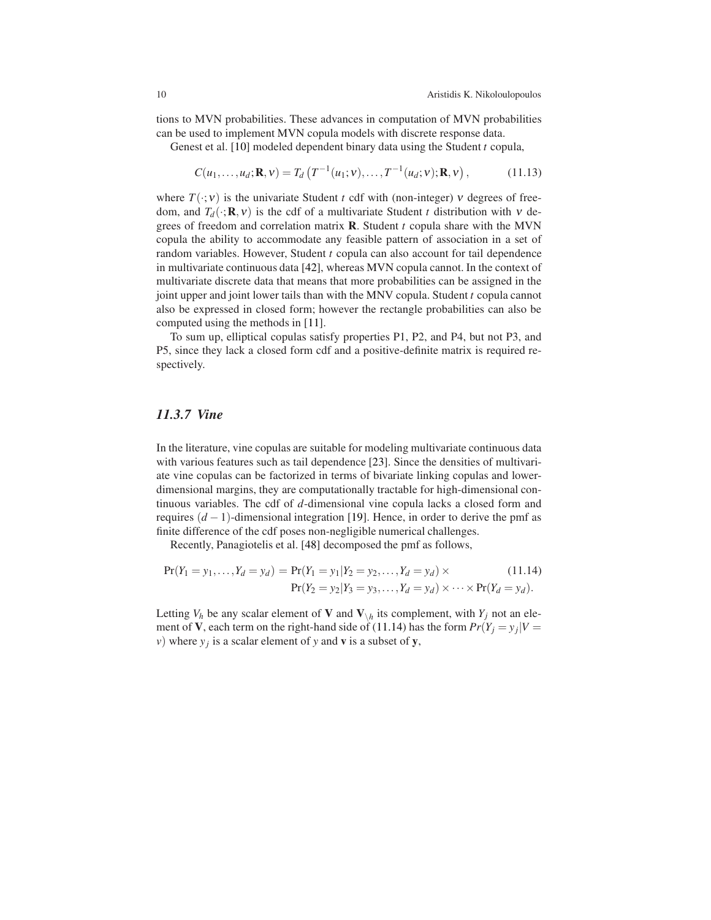tions to MVN probabilities. These advances in computation of MVN probabilities can be used to implement MVN copula models with discrete response data.

Genest et al. [\[10\]](#page-16-5) modeled dependent binary data using the Student *t* copula,

<span id="page-9-1"></span>
$$
C(u_1, \dots, u_d; \mathbf{R}, v) = T_d \left( T^{-1}(u_1; v), \dots, T^{-1}(u_d; v); \mathbf{R}, v \right), \tag{11.13}
$$

where  $T(\cdot; v)$  is the univariate Student *t* cdf with (non-integer) *v* degrees of freedom, and  $T_d(\cdot; \mathbf{R}, v)$  is the cdf of a multivariate Student *t* distribution with *v* degrees of freedom and correlation matrix R. Student *t* copula share with the MVN copula the ability to accommodate any feasible pattern of association in a set of random variables. However, Student *t* copula can also account for tail dependence in multivariate continuous data [\[42\]](#page-17-20), whereas MVN copula cannot. In the context of multivariate discrete data that means that more probabilities can be assigned in the joint upper and joint lower tails than with the MNV copula. Student *t* copula cannot also be expressed in closed form; however the rectangle probabilities can also be computed using the methods in [\[11\]](#page-16-14).

To sum up, elliptical copulas satisfy properties P1, P2, and P4, but not P3, and P5, since they lack a closed form cdf and a positive-definite matrix is required respectively.

# *11.3.7 Vine*

In the literature, vine copulas are suitable for modeling multivariate continuous data with various features such as tail dependence [\[23\]](#page-17-21). Since the densities of multivariate vine copulas can be factorized in terms of bivariate linking copulas and lowerdimensional margins, they are computationally tractable for high-dimensional continuous variables. The cdf of *d*-dimensional vine copula lacks a closed form and requires (*d* − 1)-dimensional integration [\[19\]](#page-16-0). Hence, in order to derive the pmf as finite difference of the cdf poses non-negligible numerical challenges.

Recently, Panagiotelis et al. [\[48\]](#page-18-0) decomposed the pmf as follows,

<span id="page-9-0"></span>
$$
Pr(Y_1 = y_1, ..., Y_d = y_d) = Pr(Y_1 = y_1 | Y_2 = y_2, ..., Y_d = y_d) \times (11.14)
$$
  
 
$$
Pr(Y_2 = y_2 | Y_3 = y_3, ..., Y_d = y_d) \times \cdots \times Pr(Y_d = y_d).
$$

Letting  $V_h$  be any scalar element of **V** and  $V_{\backslash h}$  its complement, with  $Y_j$  not an element of **V**, each term on the right-hand side of [\(11.14\)](#page-9-0) has the form  $Pr(Y_j = y_j | V =$ *v*) where  $y_j$  is a scalar element of *y* and **v** is a subset of **y**,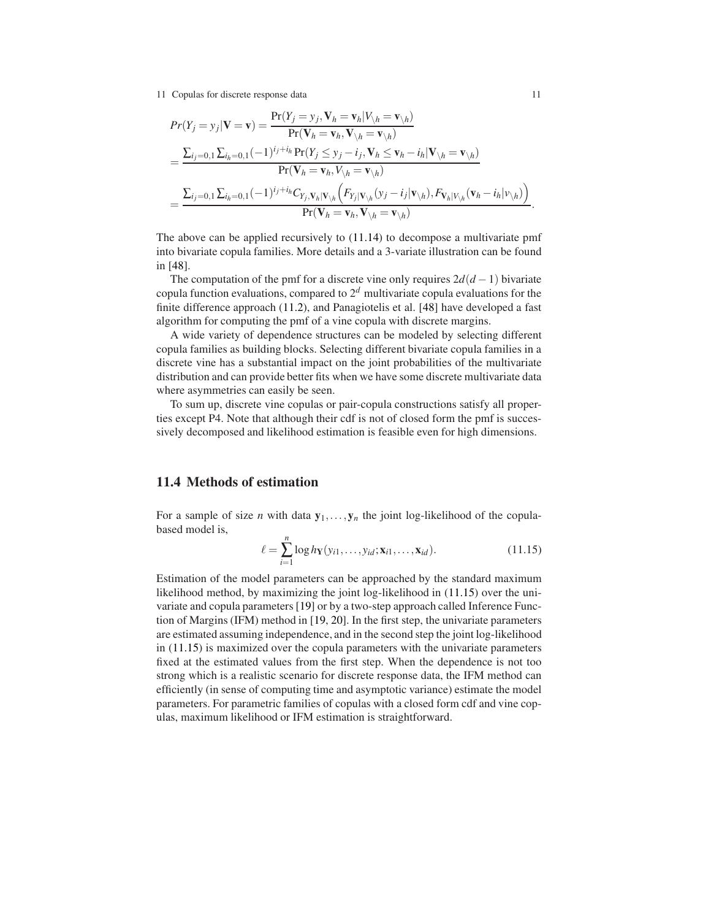11 Copulas for discrete response data 11

$$
Pr(Y_j = y_j | \mathbf{V} = \mathbf{v}) = \frac{Pr(Y_j = y_j, \mathbf{V}_h = \mathbf{v}_h | V_{\backslash h} = \mathbf{v}_{\backslash h})}{Pr(\mathbf{V}_h = \mathbf{v}_h, \mathbf{V}_{\backslash h} = \mathbf{v}_{\backslash h})}
$$
  
= 
$$
\frac{\sum_{i_j=0,1} \sum_{i_h=0,1} (-1)^{i_j+i_h} Pr(Y_j \leq y_j - i_j, \mathbf{V}_h \leq \mathbf{v}_h - i_h | \mathbf{V}_{\backslash h} = \mathbf{v}_{\backslash h})}{Pr(\mathbf{V}_h = \mathbf{v}_h, V_{\backslash h} = \mathbf{v}_{\backslash h})}
$$
  
= 
$$
\frac{\sum_{i_j=0,1} \sum_{i_h=0,1} (-1)^{i_j+i_h} C_{Y_j, \mathbf{V}_h | \mathbf{V}_{\backslash h}} (F_{Y_j | \mathbf{V}_{\backslash h}}(y_j - i_j | \mathbf{v}_{\backslash h}), F_{\mathbf{V}_h | \mathbf{V}_{\backslash h}}(\mathbf{v}_h - i_h | \mathbf{v}_{\backslash h}))}{Pr(\mathbf{V}_h = \mathbf{v}_h, \mathbf{V}_{\backslash h} = \mathbf{v}_{\backslash h})}.
$$

The above can be applied recursively to [\(11.14\)](#page-9-0) to decompose a multivariate pmf into bivariate copula families. More details and a 3-variate illustration can be found in [\[48\]](#page-18-0).

The computation of the pmf for a discrete vine only requires  $2d(d-1)$  bivariate copula function evaluations, compared to 2*<sup>d</sup>* multivariate copula evaluations for the finite difference approach [\(11.2\)](#page-2-3), and Panagiotelis et al. [\[48\]](#page-18-0) have developed a fast algorithm for computing the pmf of a vine copula with discrete margins.

A wide variety of dependence structures can be modeled by selecting different copula families as building blocks. Selecting different bivariate copula families in a discrete vine has a substantial impact on the joint probabilities of the multivariate distribution and can provide better fits when we have some discrete multivariate data where asymmetries can easily be seen.

To sum up, discrete vine copulas or pair-copula constructions satisfy all properties except P4. Note that although their cdf is not of closed form the pmf is successively decomposed and likelihood estimation is feasible even for high dimensions.

## <span id="page-10-0"></span>11.4 Methods of estimation

For a sample of size *n* with data  $y_1, \ldots, y_n$  the joint log-likelihood of the copulabased model is,

<span id="page-10-1"></span>
$$
\ell = \sum_{i=1}^{n} \log h_{\mathbf{Y}}(y_{i1}, \dots, y_{id}; \mathbf{x}_{i1}, \dots, \mathbf{x}_{id}).
$$
 (11.15)

Estimation of the model parameters can be approached by the standard maximum likelihood method, by maximizing the joint log-likelihood in [\(11.15\)](#page-10-1) over the univariate and copula parameters [\[19\]](#page-16-0) or by a two-step approach called Inference Function of Margins (IFM) method in [\[19,](#page-16-0) [20\]](#page-17-22). In the first step, the univariate parameters are estimated assuming independence, and in the second step the joint log-likelihood in [\(11.15\)](#page-10-1) is maximized over the copula parameters with the univariate parameters fixed at the estimated values from the first step. When the dependence is not too strong which is a realistic scenario for discrete response data, the IFM method can efficiently (in sense of computing time and asymptotic variance) estimate the model parameters. For parametric families of copulas with a closed form cdf and vine copulas, maximum likelihood or IFM estimation is straightforward.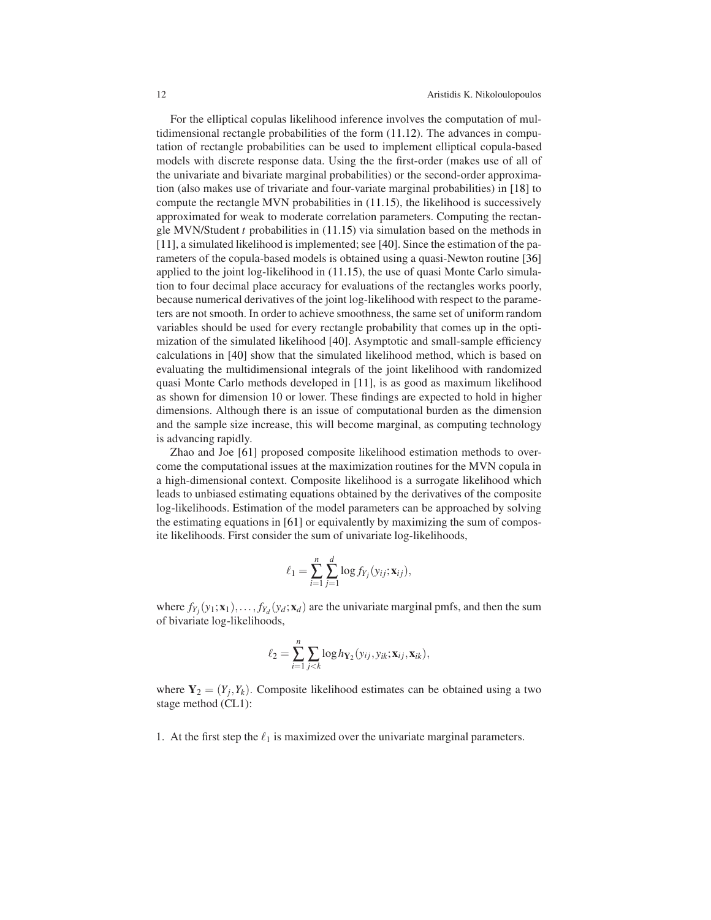For the elliptical copulas likelihood inference involves the computation of multidimensional rectangle probabilities of the form [\(11.12\)](#page-8-1). The advances in computation of rectangle probabilities can be used to implement elliptical copula-based models with discrete response data. Using the the first-order (makes use of all of the univariate and bivariate marginal probabilities) or the second-order approximation (also makes use of trivariate and four-variate marginal probabilities) in [\[18\]](#page-16-15) to compute the rectangle MVN probabilities in [\(11.15\)](#page-10-1), the likelihood is successively approximated for weak to moderate correlation parameters. Computing the rectangle MVN/Student *t* probabilities in [\(11.15\)](#page-10-1) via simulation based on the methods in [\[11\]](#page-16-14), a simulated likelihood is implemented; see [\[40\]](#page-17-18). Since the estimation of the parameters of the copula-based models is obtained using a quasi-Newton routine [\[36\]](#page-17-23) applied to the joint log-likelihood in [\(11.15\)](#page-10-1), the use of quasi Monte Carlo simulation to four decimal place accuracy for evaluations of the rectangles works poorly, because numerical derivatives of the joint log-likelihood with respect to the parameters are not smooth. In order to achieve smoothness, the same set of uniform random variables should be used for every rectangle probability that comes up in the optimization of the simulated likelihood [\[40\]](#page-17-18). Asymptotic and small-sample efficiency calculations in [\[40\]](#page-17-18) show that the simulated likelihood method, which is based on evaluating the multidimensional integrals of the joint likelihood with randomized quasi Monte Carlo methods developed in [\[11\]](#page-16-14), is as good as maximum likelihood as shown for dimension 10 or lower. These findings are expected to hold in higher dimensions. Although there is an issue of computational burden as the dimension and the sample size increase, this will become marginal, as computing technology is advancing rapidly.

Zhao and Joe [\[61\]](#page-18-8) proposed composite likelihood estimation methods to overcome the computational issues at the maximization routines for the MVN copula in a high-dimensional context. Composite likelihood is a surrogate likelihood which leads to unbiased estimating equations obtained by the derivatives of the composite log-likelihoods. Estimation of the model parameters can be approached by solving the estimating equations in [\[61\]](#page-18-8) or equivalently by maximizing the sum of composite likelihoods. First consider the sum of univariate log-likelihoods,

$$
\ell_1 = \sum_{i=1}^n \sum_{j=1}^d \log f_{Y_j}(y_{ij}; \mathbf{x}_{ij}),
$$

where  $f_{Y_j}(y_1; \mathbf{x}_1), \ldots, f_{Y_d}(y_d; \mathbf{x}_d)$  are the univariate marginal pmfs, and then the sum of bivariate log-likelihoods,

$$
\ell_2 = \sum_{i=1}^n \sum_{j < k} \log h_{\mathbf{Y}_2}(y_{ij}, y_{ik}; \mathbf{x}_{ij}, \mathbf{x}_{ik}),
$$

where  $Y_2 = (Y_j, Y_k)$ . Composite likelihood estimates can be obtained using a two stage method (CL1):

1. At the first step the  $\ell_1$  is maximized over the univariate marginal parameters.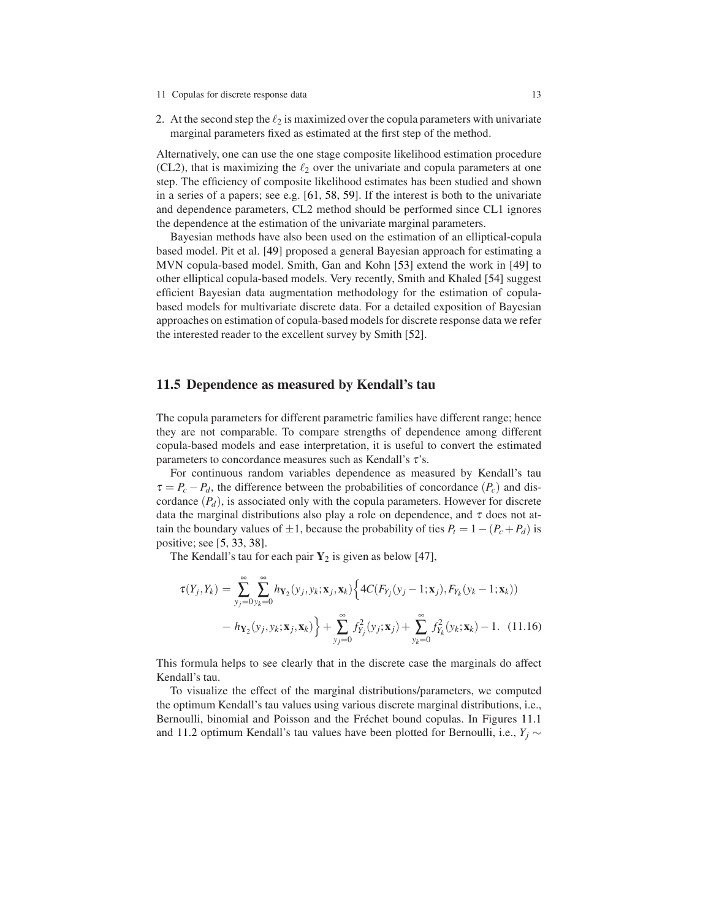- 11 Copulas for discrete response data 13
- 2. At the second step the  $\ell_2$  is maximized over the copula parameters with univariate marginal parameters fixed as estimated at the first step of the method.

Alternatively, one can use the one stage composite likelihood estimation procedure (CL2), that is maximizing the  $\ell_2$  over the univariate and copula parameters at one step. The efficiency of composite likelihood estimates has been studied and shown in a series of a papers; see e.g. [\[61,](#page-18-8) [58,](#page-18-9) [59\]](#page-18-10). If the interest is both to the univariate and dependence parameters, CL2 method should be performed since CL1 ignores the dependence at the estimation of the univariate marginal parameters.

Bayesian methods have also been used on the estimation of an elliptical-copula based model. Pit et al. [\[49\]](#page-18-11) proposed a general Bayesian approach for estimating a MVN copula-based model. Smith, Gan and Kohn [\[53\]](#page-18-12) extend the work in [\[49\]](#page-18-11) to other elliptical copula-based models. Very recently, Smith and Khaled [\[54\]](#page-18-13) suggest efficient Bayesian data augmentation methodology for the estimation of copulabased models for multivariate discrete data. For a detailed exposition of Bayesian approaches on estimation of copula-based models for discrete response data we refer the interested reader to the excellent survey by Smith [\[52\]](#page-18-14).

## <span id="page-12-0"></span>11.5 Dependence as measured by Kendall's tau

The copula parameters for different parametric families have different range; hence they are not comparable. To compare strengths of dependence among different copula-based models and ease interpretation, it is useful to convert the estimated parameters to concordance measures such as Kendall's  $\tau$ 's.

For continuous random variables dependence as measured by Kendall's tau  $\tau = P_c - P_d$ , the difference between the probabilities of concordance  $(P_c)$  and discordance  $(P_d)$ , is associated only with the copula parameters. However for discrete data the marginal distributions also play a role on dependence, and  $\tau$  does not attain the boundary values of  $\pm 1$ , because the probability of ties  $P_t = 1 - (P_c + P_d)$  is positive; see [\[5,](#page-16-17) [33,](#page-17-24) [38\]](#page-17-25).

The Kendall's tau for each pair  $Y_2$  is given as below [\[47\]](#page-18-15),

$$
\tau(Y_j, Y_k) = \sum_{y_j=0}^{\infty} \sum_{y_k=0}^{\infty} h_{\mathbf{Y}_2}(y_j, y_k; \mathbf{x}_j, \mathbf{x}_k) \Big\{ 4C(F_{Y_j}(y_j - 1; \mathbf{x}_j), F_{Y_k}(y_k - 1; \mathbf{x}_k)) - h_{\mathbf{Y}_2}(y_j, y_k; \mathbf{x}_j, \mathbf{x}_k) \Big\} + \sum_{y_j=0}^{\infty} f_{Y_j}^2(y_j; \mathbf{x}_j) + \sum_{y_k=0}^{\infty} f_{Y_k}^2(y_k; \mathbf{x}_k) - 1.
$$
 (11.16)

This formula helps to see clearly that in the discrete case the marginals do affect Kendall's tau.

To visualize the effect of the marginal distributions/parameters, we computed the optimum Kendall's tau values using various discrete marginal distributions, i.e., Bernoulli, binomial and Poisson and the Fréchet bound copulas. In Figures [11.1](#page-13-0) and [11.2](#page-14-0) optimum Kendall's tau values have been plotted for Bernoulli, i.e.,  $Y_j$  ∼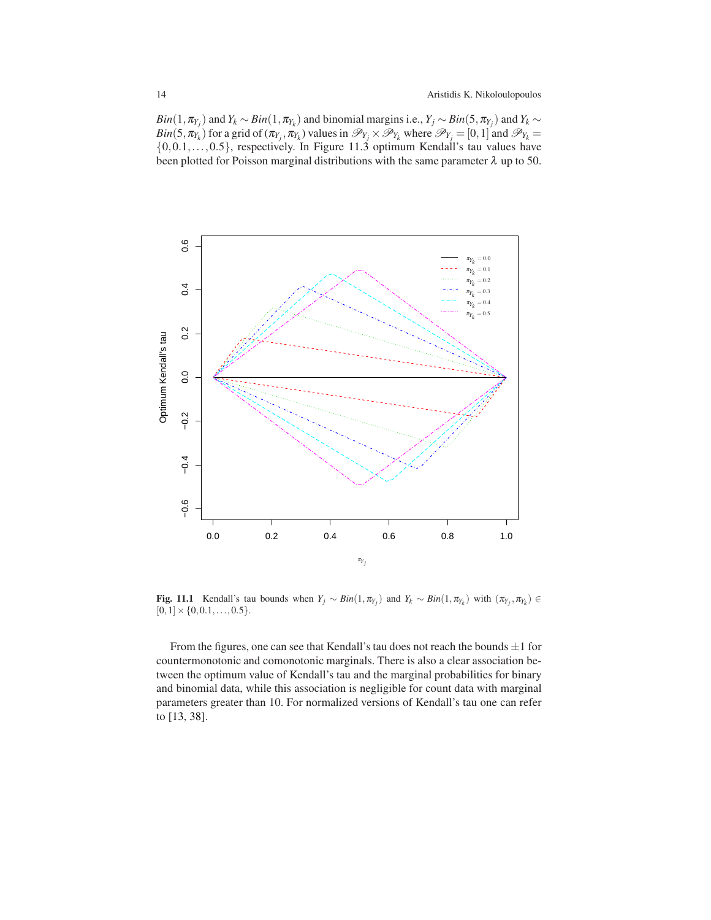$Bin(1,\pi_{Y_j})$  and  $Y_k \sim Bin(1,\pi_{Y_k})$  and binomial margins i.e.,  $Y_j \sim Bin(5,\pi_{Y_j})$  and  $Y_k \sim$ *Bin*(5,  $\pi_{Y_k}$ ) for a grid of ( $\pi_{Y_j}$ ,  $\pi_{Y_k}$ ) values in  $\mathscr{P}_{Y_j} \times \mathscr{P}_{Y_k}$  where  $\mathscr{P}_{Y_j} = [0,1]$  and  $\mathscr{P}_{Y_k} =$  $\{0,0.1,\ldots,0.5\}$ , respectively. In Figure [11.3](#page-15-0) optimum Kendall's tau values have been plotted for Poisson marginal distributions with the same parameter  $\lambda$  up to 50.



<span id="page-13-0"></span>Fig. 11.1 Kendall's tau bounds when  $Y_j \sim Bin(1, \pi_{Y_j})$  and  $Y_k \sim Bin(1, \pi_{Y_k})$  with  $(\pi_{Y_j}, \pi_{Y_k}) \in$  $[0,1] \times \{0,0.1,\ldots,0.5\}.$ 

From the figures, one can see that Kendall's tau does not reach the bounds  $\pm 1$  for countermonotonic and comonotonic marginals. There is also a clear association between the optimum value of Kendall's tau and the marginal probabilities for binary and binomial data, while this association is negligible for count data with marginal parameters greater than 10. For normalized versions of Kendall's tau one can refer to [\[13,](#page-16-18) [38\]](#page-17-25).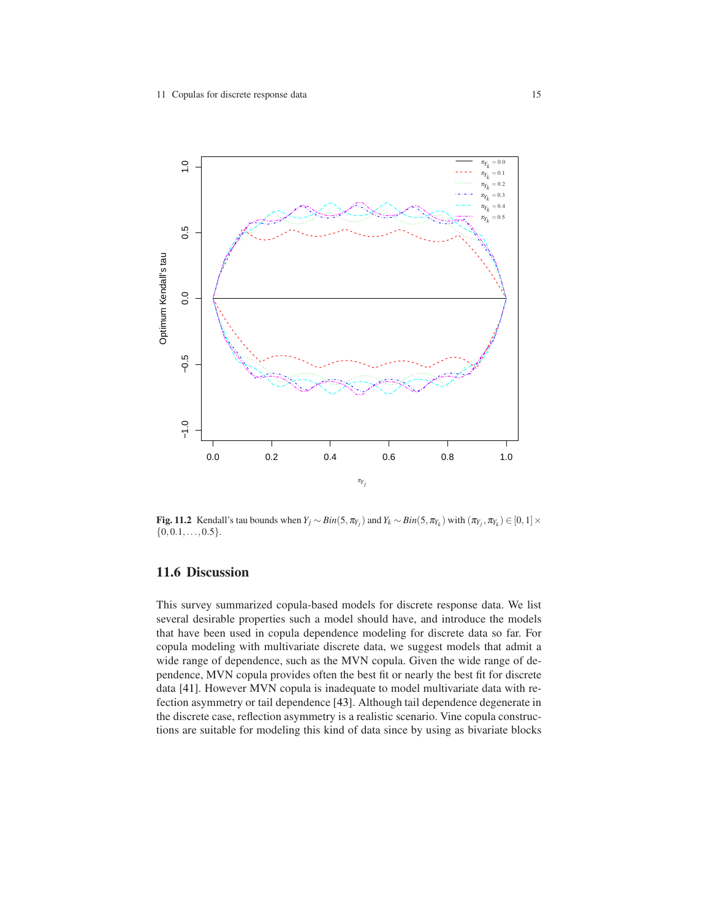

<span id="page-14-0"></span>Fig. 11.2 Kendall's tau bounds when  $Y_j \sim Bin(5, \pi_{Y_j})$  and  $Y_k \sim Bin(5, \pi_{Y_k})$  with  $(\pi_{Y_j}, \pi_{Y_k}) \in [0, 1] \times$  $\{0, 0.1, \ldots, 0.5\}.$ 

# 11.6 Discussion

This survey summarized copula-based models for discrete response data. We list several desirable properties such a model should have, and introduce the models that have been used in copula dependence modeling for discrete data so far. For copula modeling with multivariate discrete data, we suggest models that admit a wide range of dependence, such as the MVN copula. Given the wide range of dependence, MVN copula provides often the best fit or nearly the best fit for discrete data [\[41\]](#page-17-7). However MVN copula is inadequate to model multivariate data with refection asymmetry or tail dependence [\[43\]](#page-17-26). Although tail dependence degenerate in the discrete case, reflection asymmetry is a realistic scenario. Vine copula constructions are suitable for modeling this kind of data since by using as bivariate blocks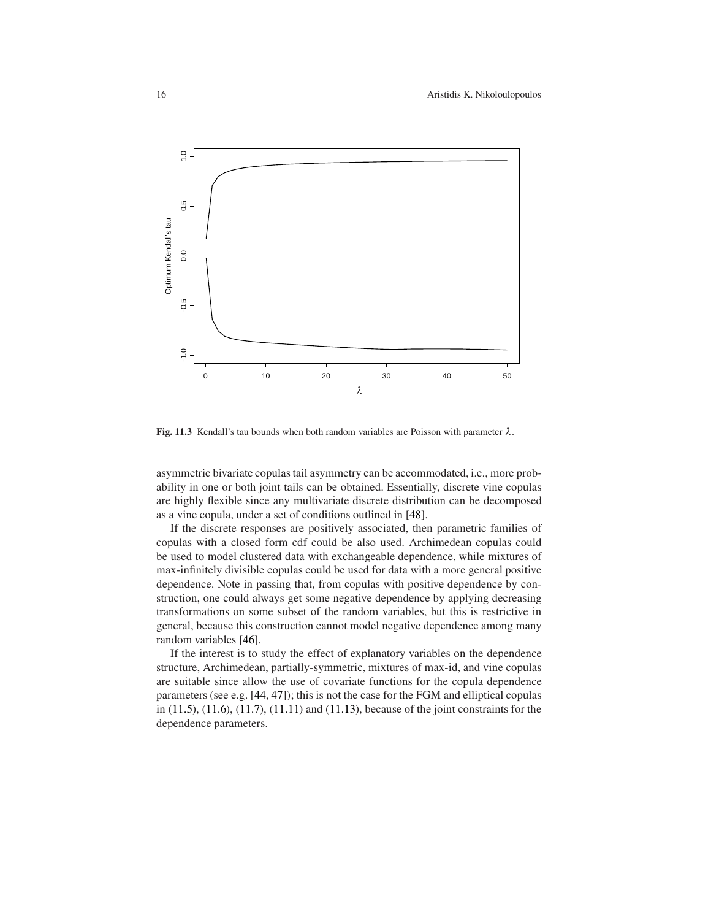

<span id="page-15-0"></span>Fig. 11.3 Kendall's tau bounds when both random variables are Poisson with parameter  $\lambda$ .

asymmetric bivariate copulas tail asymmetry can be accommodated, i.e., more probability in one or both joint tails can be obtained. Essentially, discrete vine copulas are highly flexible since any multivariate discrete distribution can be decomposed as a vine copula, under a set of conditions outlined in [\[48\]](#page-18-0).

If the discrete responses are positively associated, then parametric families of copulas with a closed form cdf could be also used. Archimedean copulas could be used to model clustered data with exchangeable dependence, while mixtures of max-infinitely divisible copulas could be used for data with a more general positive dependence. Note in passing that, from copulas with positive dependence by construction, one could always get some negative dependence by applying decreasing transformations on some subset of the random variables, but this is restrictive in general, because this construction cannot model negative dependence among many random variables [\[46\]](#page-17-5).

If the interest is to study the effect of explanatory variables on the dependence structure, Archimedean, partially-symmetric, mixtures of max-id, and vine copulas are suitable since allow the use of covariate functions for the copula dependence parameters (see e.g. [\[44,](#page-17-4) [47\]](#page-18-15)); this is not the case for the FGM and elliptical copulas in [\(11.5\)](#page-4-1), [\(11.6\)](#page-5-0), [\(11.7\)](#page-5-1), [\(11.11\)](#page-8-2) and [\(11.13\)](#page-9-1), because of the joint constraints for the dependence parameters.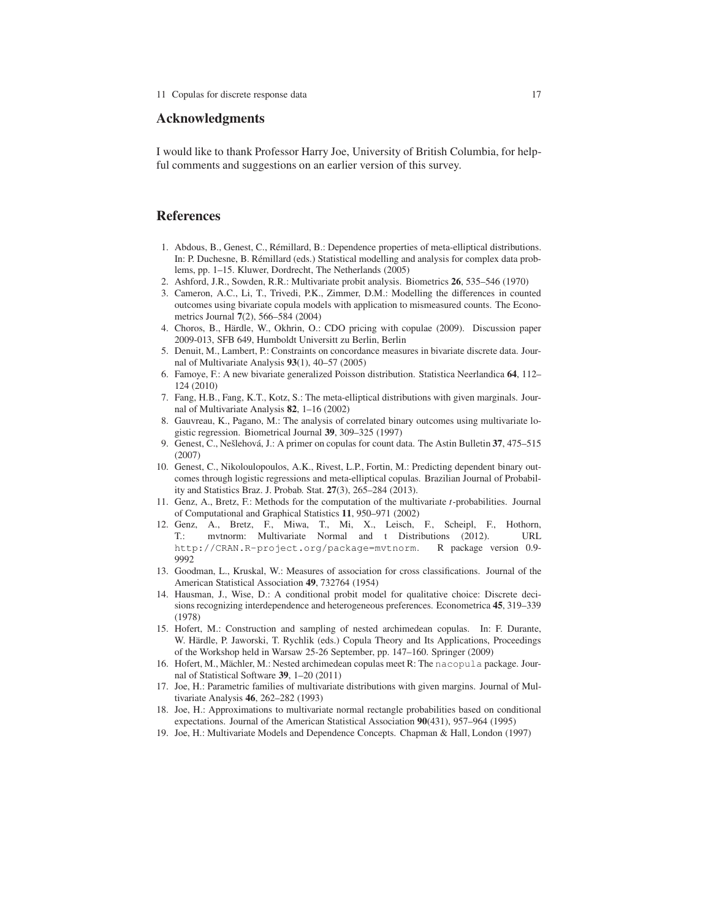#### Acknowledgments

I would like to thank Professor Harry Joe, University of British Columbia, for helpful comments and suggestions on an earlier version of this survey.

### References

- <span id="page-16-13"></span>1. Abdous, B., Genest, C., R´emillard, B.: Dependence properties of meta-elliptical distributions. In: P. Duchesne, B. Rémillard (eds.) Statistical modelling and analysis for complex data problems, pp. 1–15. Kluwer, Dordrecht, The Netherlands (2005)
- <span id="page-16-7"></span><span id="page-16-3"></span>2. Ashford, J.R., Sowden, R.R.: Multivariate probit analysis. Biometrics 26, 535–546 (1970)
- 3. Cameron, A.C., Li, T., Trivedi, P.K., Zimmer, D.M.: Modelling the differences in counted outcomes using bivariate copula models with application to mismeasured counts. The Econometrics Journal 7(2), 566–584 (2004)
- <span id="page-16-9"></span>4. Choros, B., Härdle, W., Okhrin, O.: CDO pricing with copulae (2009). Discussion paper 2009-013, SFB 649, Humboldt Universitt zu Berlin, Berlin
- <span id="page-16-17"></span>5. Denuit, M., Lambert, P.: Constraints on concordance measures in bivariate discrete data. Journal of Multivariate Analysis 93(1), 40–57 (2005)
- <span id="page-16-1"></span>6. Famoye, F.: A new bivariate generalized Poisson distribution. Statistica Neerlandica 64, 112– 124 (2010)
- <span id="page-16-12"></span>7. Fang, H.B., Fang, K.T., Kotz, S.: The meta-elliptical distributions with given marginals. Journal of Multivariate Analysis 82, 1–16 (2002)
- <span id="page-16-2"></span>8. Gauvreau, K., Pagano, M.: The analysis of correlated binary outcomes using multivariate logistic regression. Biometrical Journal 39, 309–325 (1997)
- <span id="page-16-6"></span>9. Genest, C., Nešlehová, J.: A primer on copulas for count data. The Astin Bulletin 37, 475–515 (2007)
- <span id="page-16-5"></span>10. Genest, C., Nikoloulopoulos, A.K., Rivest, L.P., Fortin, M.: Predicting dependent binary outcomes through logistic regressions and meta-elliptical copulas. Brazilian Journal of Probability and Statistics Braz. J. Probab. Stat. 27(3), 265–284 (2013).
- <span id="page-16-14"></span>11. Genz, A., Bretz, F.: Methods for the computation of the multivariate *t*-probabilities. Journal of Computational and Graphical Statistics 11, 950–971 (2002)
- <span id="page-16-16"></span>12. Genz, A., Bretz, F., Miwa, T., Mi, X., Leisch, F., Scheipl, F., Hothorn, T.: mvtnorm: Multivariate Normal and t Distributions (2012). URL <http://CRAN.R-project.org/package=mvtnorm>. R package version 0.9- 9992
- <span id="page-16-18"></span>13. Goodman, L., Kruskal, W.: Measures of association for cross classifications. Journal of the American Statistical Association 49, 732764 (1954)
- <span id="page-16-4"></span>14. Hausman, J., Wise, D.: A conditional probit model for qualitative choice: Discrete decisions recognizing interdependence and heterogeneous preferences. Econometrica 45, 319–339 (1978)
- <span id="page-16-10"></span>15. Hofert, M.: Construction and sampling of nested archimedean copulas. In: F. Durante, W. Härdle, P. Jaworski, T. Rychlik (eds.) Copula Theory and Its Applications, Proceedings of the Workshop held in Warsaw 25-26 September, pp. 147–160. Springer (2009)
- <span id="page-16-11"></span>16. Hofert, M., Mächler, M.: Nested archimedean copulas meet R: The nacopula package. Journal of Statistical Software 39, 1–20 (2011)
- <span id="page-16-8"></span>17. Joe, H.: Parametric families of multivariate distributions with given margins. Journal of Multivariate Analysis 46, 262–282 (1993)
- <span id="page-16-15"></span>18. Joe, H.: Approximations to multivariate normal rectangle probabilities based on conditional expectations. Journal of the American Statistical Association 90(431), 957–964 (1995)
- <span id="page-16-0"></span>19. Joe, H.: Multivariate Models and Dependence Concepts. Chapman & Hall, London (1997)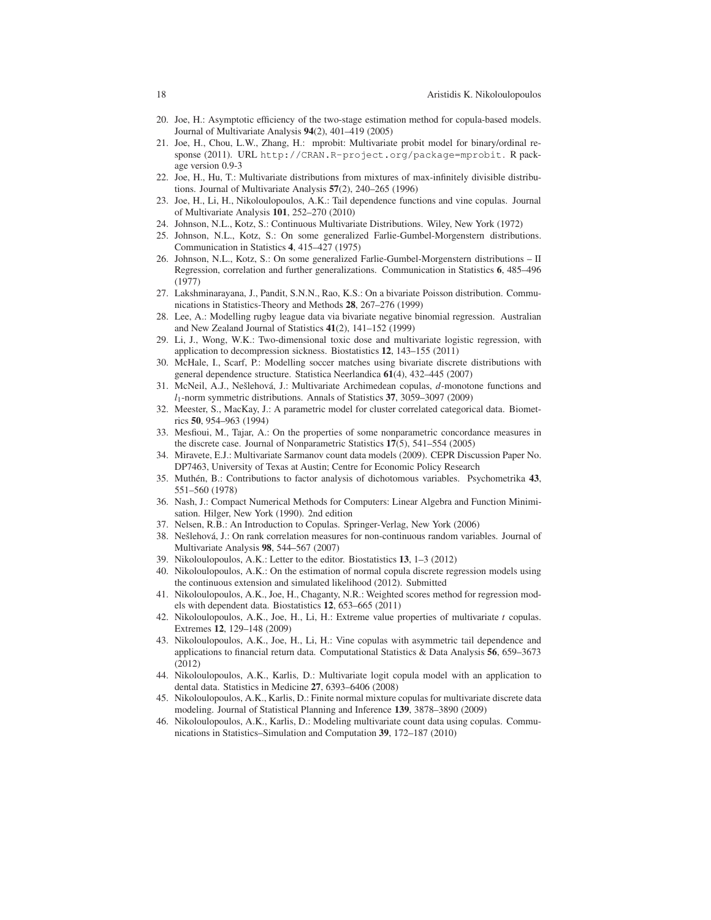- 20. Joe, H.: Asymptotic efficiency of the two-stage estimation method for copula-based models. Journal of Multivariate Analysis 94(2), 401–419 (2005)
- <span id="page-17-19"></span>21. Joe, H., Chou, L.W., Zhang, H.: mprobit: Multivariate probit model for binary/ordinal response (2011). URL <http://CRAN.R-project.org/package=mprobit>. R package version 0.9-3
- <span id="page-17-16"></span>22. Joe, H., Hu, T.: Multivariate distributions from mixtures of max-infinitely divisible distributions. Journal of Multivariate Analysis 57(2), 240–265 (1996)
- <span id="page-17-21"></span>23. Joe, H., Li, H., Nikoloulopoulos, A.K.: Tail dependence functions and vine copulas. Journal of Multivariate Analysis 101, 252–270 (2010)
- <span id="page-17-17"></span><span id="page-17-13"></span>24. Johnson, N.L., Kotz, S.: Continuous Multivariate Distributions. Wiley, New York (1972)
- 25. Johnson, N.L., Kotz, S.: On some generalized Farlie-Gumbel-Morgenstern distributions. Communication in Statistics 4, 415–427 (1975)
- <span id="page-17-14"></span>26. Johnson, N.L., Kotz, S.: On some generalized Farlie-Gumbel-Morgenstern distributions – II Regression, correlation and further generalizations. Communication in Statistics 6, 485–496 (1977)
- <span id="page-17-1"></span>27. Lakshminarayana, J., Pandit, S.N.N., Rao, K.S.: On a bivariate Poisson distribution. Communications in Statistics-Theory and Methods 28, 267–276 (1999)
- <span id="page-17-11"></span>28. Lee, A.: Modelling rugby league data via bivariate negative binomial regression. Australian and New Zealand Journal of Statistics 41(2), 141–152 (1999)
- <span id="page-17-6"></span>29. Li, J., Wong, W.K.: Two-dimensional toxic dose and multivariate logistic regression, with application to decompression sickness. Biostatistics 12, 143–155 (2011)
- <span id="page-17-12"></span>30. McHale, I., Scarf, P.: Modelling soccer matches using bivariate discrete distributions with general dependence structure. Statistica Neerlandica 61(4), 432–445 (2007)
- <span id="page-17-10"></span>31. McNeil, A.J., Neˇslehov´a, J.: Multivariate Archimedean copulas, *d*-monotone functions and *l*1-norm symmetric distributions. Annals of Statistics 37, 3059–3097 (2009)
- <span id="page-17-3"></span>32. Meester, S., MacKay, J.: A parametric model for cluster correlated categorical data. Biometrics 50, 954–963 (1994)
- <span id="page-17-24"></span>33. Mesfioui, M., Tajar, A.: On the properties of some nonparametric concordance measures in the discrete case. Journal of Nonparametric Statistics 17(5), 541–554 (2005)
- <span id="page-17-2"></span>34. Miravete, E.J.: Multivariate Sarmanov count data models (2009). CEPR Discussion Paper No. DP7463, University of Texas at Austin; Centre for Economic Policy Research
- <span id="page-17-8"></span>35. Muth´en, B.: Contributions to factor analysis of dichotomous variables. Psychometrika 43, 551–560 (1978)
- <span id="page-17-23"></span>36. Nash, J.: Compact Numerical Methods for Computers: Linear Algebra and Function Minimisation. Hilger, New York (1990). 2nd edition
- <span id="page-17-25"></span><span id="page-17-9"></span>37. Nelsen, R.B.: An Introduction to Copulas. Springer-Verlag, New York (2006)
- 38. Nešlehová, J.: On rank correlation measures for non-continuous random variables. Journal of Multivariate Analysis 98, 544–567 (2007)
- <span id="page-17-18"></span><span id="page-17-15"></span>39. Nikoloulopoulos, A.K.: Letter to the editor. Biostatistics 13, 1–3 (2012)
- 40. Nikoloulopoulos, A.K.: On the estimation of normal copula discrete regression models using the continuous extension and simulated likelihood (2012). Submitted
- <span id="page-17-7"></span>41. Nikoloulopoulos, A.K., Joe, H., Chaganty, N.R.: Weighted scores method for regression models with dependent data. Biostatistics 12, 653–665 (2011)
- <span id="page-17-20"></span>42. Nikoloulopoulos, A.K., Joe, H., Li, H.: Extreme value properties of multivariate *t* copulas. Extremes 12, 129–148 (2009)
- <span id="page-17-26"></span>43. Nikoloulopoulos, A.K., Joe, H., Li, H.: Vine copulas with asymmetric tail dependence and applications to financial return data. Computational Statistics & Data Analysis 56, 659–3673 (2012)
- <span id="page-17-4"></span>44. Nikoloulopoulos, A.K., Karlis, D.: Multivariate logit copula model with an application to dental data. Statistics in Medicine 27, 6393–6406 (2008)
- <span id="page-17-0"></span>45. Nikoloulopoulos, A.K., Karlis, D.: Finite normal mixture copulas for multivariate discrete data modeling. Journal of Statistical Planning and Inference 139, 3878–3890 (2009)
- <span id="page-17-5"></span>46. Nikoloulopoulos, A.K., Karlis, D.: Modeling multivariate count data using copulas. Communications in Statistics–Simulation and Computation 39, 172–187 (2010)

<span id="page-17-22"></span>